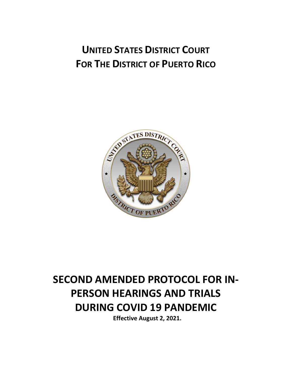# **UNITED STATES DISTRICT COURT FOR THE DISTRICT OF PUERTO RICO**



# **SECOND AMENDED PROTOCOL FOR IN-PERSON HEARINGS AND TRIALS DURING COVID 19 PANDEMIC**

**Effective August 2, 2021.**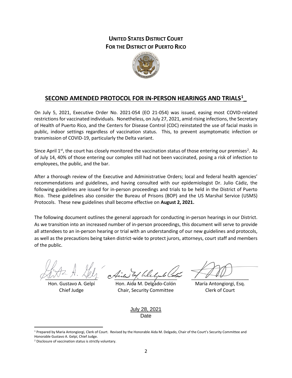## **UNITED STATES DISTRICT COURT FOR THE DISTRICT OF PUERTO RICO**



## **SECOND AMENDED PROTOCOL FOR IN-PERSON HEARINGS AND TRIALS[1](#page-1-0) \_**

On July 5, 2021, Executive Order No. 2021-054 (EO 21-054) was issued, easing most COVID-related restrictions for vaccinated individuals. Nonetheless, on July 27, 2021, amid rising infections, the Secretary of Health of Puerto Rico, and the Centers for Disease Control (CDC) reinstated the use of facial masks in public, indoor settings regardless of vaccination status. This, to prevent asymptomatic infection or transmission of COVID-19, particularly the Delta variant.

Since April  $1^{st}$ , the court has closely monitored the vaccination status of those entering our premises<sup>[2](#page-1-1)</sup>. As of July 14, 40% of those entering our complex still had not been vaccinated, posing a risk of infection to employees, the public, and the bar.

After a thorough review of the Executive and Administrative Orders; local and federal health agencies' recommendations and guidelines, and having consulted with our epidemiologist Dr. Julio Cádiz, the following guidelines are issued for in-person proceedings and trials to be held in the District of Puerto Rico. These guidelines also consider the Bureau of Prisons (BOP) and the US Marshal Service (USMS) Protocols. These new guidelines shall become effective on **August 2, 2021.** 

The following document outlines the general approach for conducting in-person hearings in our District. As we transition into an increased number of in-person proceedings, this document will serve to provide all attendees to an in-person hearing or trial with an understanding of our new guidelines and protocols, as well as the precautions being taken district-wide to protect jurors, attorneys, court staff and members of the public.

 $\underline{\text{WV}}$ 

Hon. Gustavo A. Gelpí Chief Judge

\_\_\_\_\_\_\_\_\_\_\_\_\_\_\_\_\_\_\_\_\_\_\_\_

Hon. Aida M. Delgado-Colón Chair, Security Committee

 $\frac{1}{2}$ 

María Antongiorgi, Esq. Clerk of Court

July 28, 2021 Date

<span id="page-1-0"></span><sup>&</sup>lt;sup>1</sup> Prepared by Maria Antongiorgi, Clerk of Court. Revised by the Honorable Aida M. Delgado, Chair of the Court's Security Committee and Honorable Gustavo A. Gelpí, Chief Judge.

<span id="page-1-1"></span><sup>2</sup> Disclosure of vaccination status is strictly voluntary.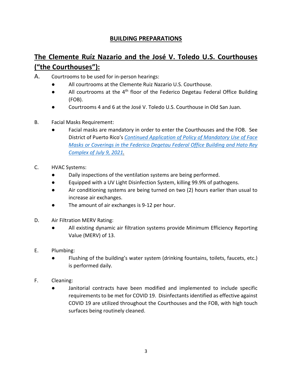## **BUILDING PREPARATIONS**

# **The Clemente Ruíz Nazario and the José V. Toledo U.S. Courthouses ("the Courthouses"):**

- A. Courtrooms to be used for in-person hearings:
	- All courtrooms at the Clemente Ruiz Nazario U.S. Courthouse.
	- All courtrooms at the 4<sup>th</sup> floor of the Federico Degetau Federal Office Building (FOB).
	- Courtrooms 4 and 6 at the José V. Toledo U.S. Courthouse in Old San Juan.
- B. Facial Masks Requirement:
	- Facial masks are mandatory in order to enter the Courthouses and the FOB. See District of Puerto Rico's *[Continued Application of Policy of Mandatory Use of Face](https://www.prd.uscourts.gov/sites/default/files/Policy%20of%20Mandatory%20use%20of%20Face%20Masks%207.9.2021.pdf)  [Masks or Coverings in the Federico Degetau Federal Office Building and Hato Rey](https://www.prd.uscourts.gov/sites/default/files/Policy%20of%20Mandatory%20use%20of%20Face%20Masks%207.9.2021.pdf)  [Complex of July 9, 2021.](https://www.prd.uscourts.gov/sites/default/files/Policy%20of%20Mandatory%20use%20of%20Face%20Masks%207.9.2021.pdf)*
- C. HVAC Systems:
	- Daily inspections of the ventilation systems are being performed.
	- Equipped with a UV Light Disinfection System, killing 99.9% of pathogens.
	- Air conditioning systems are being turned on two (2) hours earlier than usual to increase air exchanges.
	- The amount of air exchanges is 9-12 per hour.
- D. Air Filtration MERV Rating:
	- All existing dynamic air filtration systems provide Minimum Efficiency Reporting Value (MERV) of 13.
- E. Plumbing:
	- Flushing of the building's water system (drinking fountains, toilets, faucets, etc.) is performed daily.
- F. Cleaning:
	- Janitorial contracts have been modified and implemented to include specific requirements to be met for COVID 19. Disinfectants identified as effective against COVID 19 are utilized throughout the Courthouses and the FOB, with high touch surfaces being routinely cleaned.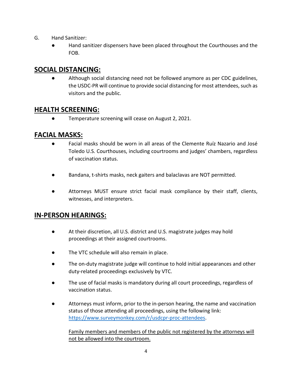- G. Hand Sanitizer:
	- Hand sanitizer dispensers have been placed throughout the Courthouses and the FOB.

## **SOCIAL DISTANCING:**

Although social distancing need not be followed anymore as per CDC guidelines, the USDC-PR will continue to provide social distancing for most attendees, such as visitors and the public.

# **HEALTH SCREENING:**

● Temperature screening will cease on August 2, 2021.

# **FACIAL MASKS:**

- Facial masks should be worn in all areas of the Clemente Ruíz Nazario and José Toledo U.S. Courthouses, including courtrooms and judges' chambers, regardless of vaccination status.
- Bandana, t-shirts masks, neck gaiters and balaclavas are NOT permitted.
- Attorneys MUST ensure strict facial mask compliance by their staff, clients, witnesses, and interpreters.

# **IN-PERSON HEARINGS:**

- At their discretion, all U.S. district and U.S. magistrate judges may hold proceedings at their assigned courtrooms.
- The VTC schedule will also remain in place.
- The on-duty magistrate judge will continue to hold initial appearances and other duty-related proceedings exclusively by VTC.
- The use of facial masks is mandatory during all court proceedings, regardless of vaccination status.
- Attorneys must inform, prior to the in-person hearing, the name and vaccination status of those attending all proceedings, using the following link: [https://www.surveymonkey.com/r/usdcpr-proc-attendees.](https://www.surveymonkey.com/r/usdcpr-proc-attendees)

Family members and members of the public not registered by the attorneys will not be allowed into the courtroom.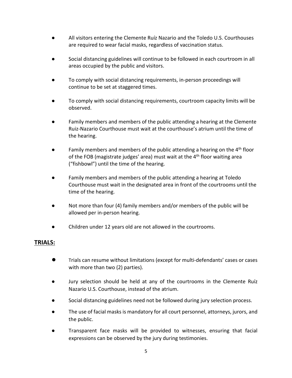- All visitors entering the Clemente Ruíz Nazario and the Toledo U.S. Courthouses are required to wear facial masks, regardless of vaccination status.
- Social distancing guidelines will continue to be followed in each courtroom in all areas occupied by the public and visitors.
- To comply with social distancing requirements, in-person proceedings will continue to be set at staggered times.
- To comply with social distancing requirements, courtroom capacity limits will be observed.
- Family members and members of the public attending a hearing at the Clemente Ruiz-Nazario Courthouse must wait at the courthouse's atrium until the time of the hearing.
- **•** Family members and members of the public attending a hearing on the 4<sup>th</sup> floor of the FOB (magistrate judges' area) must wait at the  $4<sup>th</sup>$  floor waiting area ("fishbowl") until the time of the hearing.
- Family members and members of the public attending a hearing at Toledo Courthouse must wait in the designated area in front of the courtrooms until the time of the hearing.
- Not more than four (4) family members and/or members of the public will be allowed per in-person hearing.
- Children under 12 years old are not allowed in the courtrooms.

#### **TRIALS:**

- Trials can resume without limitations (except for multi-defendants' cases or cases with more than two (2) parties).
- Jury selection should be held at any of the courtrooms in the Clemente Ruíz Nazario U.S. Courthouse, instead of the atrium.
- Social distancing guidelines need not be followed during jury selection process.
- The use of facial masks is mandatory for all court personnel, attorneys, jurors, and the public.
- Transparent face masks will be provided to witnesses, ensuring that facial expressions can be observed by the jury during testimonies.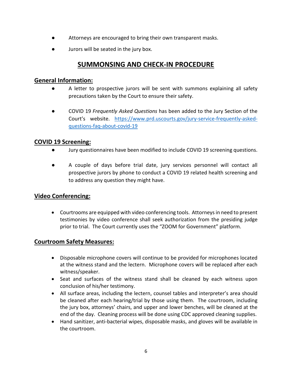- Attorneys are encouraged to bring their own transparent masks.
- Jurors will be seated in the jury box.

# **SUMMONSING AND CHECK-IN PROCEDURE**

#### **General Information:**

- A letter to prospective jurors will be sent with summons explaining all safety precautions taken by the Court to ensure their safety.
- COVID 19 *Frequently Asked Questions* has been added to the Jury Section of the Court's website. [https://www.prd.uscourts.gov/jury-service-frequently-asked](https://www.prd.uscourts.gov/jury-service-frequently-asked-questions-faq-about-covid-19)[questions-faq-about-covid-19](https://www.prd.uscourts.gov/jury-service-frequently-asked-questions-faq-about-covid-19)

#### **COVID 19 Screening:**

- Jury questionnaires have been modified to include COVID 19 screening questions.
- A couple of days before trial date, jury services personnel will contact all prospective jurors by phone to conduct a COVID 19 related health screening and to address any question they might have.

## **Video Conferencing:**

• Courtrooms are equipped with video conferencing tools. Attorneys in need to present testimonies by video conference shall seek authorization from the presiding judge prior to trial. The Court currently uses the "ZOOM for Government" platform.

#### **Courtroom Safety Measures:**

- Disposable microphone covers will continue to be provided for microphones located at the witness stand and the lectern. Microphone covers will be replaced after each witness/speaker.
- Seat and surfaces of the witness stand shall be cleaned by each witness upon conclusion of his/her testimony.
- All surface areas, including the lectern, counsel tables and interpreter's area should be cleaned after each hearing/trial by those using them. The courtroom, including the jury box, attorneys' chairs, and upper and lower benches, will be cleaned at the end of the day. Cleaning process will be done using CDC approved cleaning supplies.
- Hand sanitizer, anti-bacterial wipes, disposable masks, and gloves will be available in the courtroom.